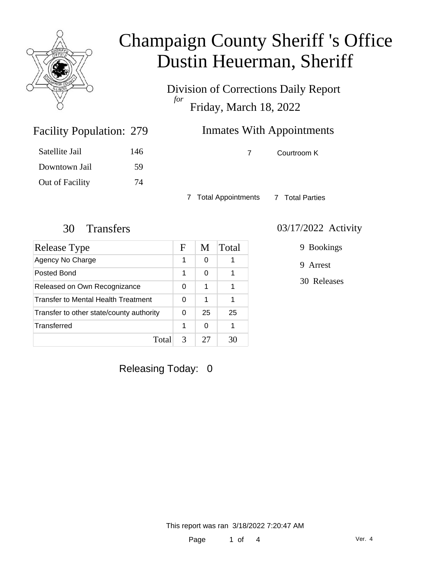

Division of Corrections Daily Report *for* Friday, March 18, 2022

### Inmates With Appointments

| 146 |
|-----|
| 59  |
| 74  |
|     |

Facility Population: 279

7 Courtroom K

7 Total Appointments 7 Total Parties

| Release Type                             | F | M  | Total |
|------------------------------------------|---|----|-------|
| Agency No Charge                         | 1 | 0  |       |
| Posted Bond                              | 1 | 0  |       |
| Released on Own Recognizance             |   | 1  |       |
| Transfer to Mental Health Treatment      | 0 | 1  |       |
| Transfer to other state/county authority |   | 25 | 25    |
| Transferred                              | 1 | 0  |       |
| Total                                    | 3 | 27 |       |

#### 30 Transfers 03/17/2022 Activity

9 Bookings

9 Arrest

30 Releases

Releasing Today: 0

This report was ran 3/18/2022 7:20:47 AM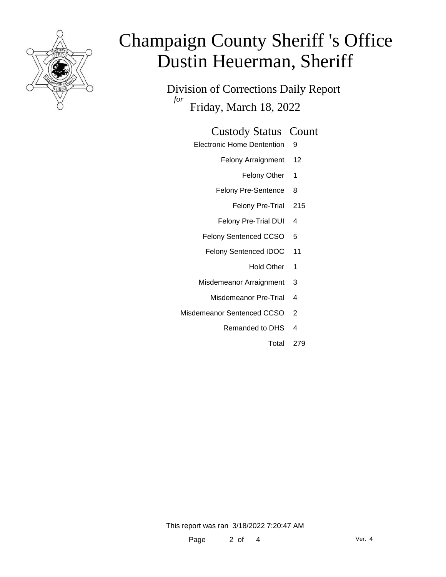

Division of Corrections Daily Report *for* Friday, March 18, 2022

#### Custody Status Count

- Electronic Home Dentention 9
	- Felony Arraignment 12
		- Felony Other 1
	- Felony Pre-Sentence 8
		- Felony Pre-Trial 215
	- Felony Pre-Trial DUI 4
	- Felony Sentenced CCSO 5
	- Felony Sentenced IDOC 11
		- Hold Other 1
	- Misdemeanor Arraignment 3
		- Misdemeanor Pre-Trial 4
- Misdemeanor Sentenced CCSO 2
	- Remanded to DHS 4
		- Total 279

This report was ran 3/18/2022 7:20:47 AM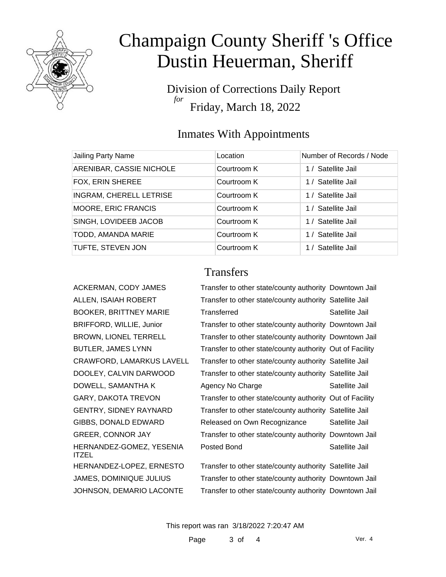

Division of Corrections Daily Report *for* Friday, March 18, 2022

### Inmates With Appointments

| Jailing Party Name         | Location    | Number of Records / Node |
|----------------------------|-------------|--------------------------|
| ARENIBAR, CASSIE NICHOLE   | Courtroom K | 1 / Satellite Jail       |
| FOX, ERIN SHEREE           | Courtroom K | 1 / Satellite Jail       |
| INGRAM, CHERELL LETRISE    | Courtroom K | 1 / Satellite Jail       |
| <b>MOORE, ERIC FRANCIS</b> | Courtroom K | 1 / Satellite Jail       |
| SINGH, LOVIDEEB JACOB      | Courtroom K | 1 / Satellite Jail       |
| TODD, AMANDA MARIE         | Courtroom K | 1 / Satellite Jail       |
| TUFTE, STEVEN JON          | Courtroom K | 1 / Satellite Jail       |

#### **Transfers**

| ACKERMAN, CODY JAMES                     | Transfer to other state/county authority Downtown Jail   |                |
|------------------------------------------|----------------------------------------------------------|----------------|
| ALLEN, ISAIAH ROBERT                     | Transfer to other state/county authority Satellite Jail  |                |
| <b>BOOKER, BRITTNEY MARIE</b>            | Transferred                                              | Satellite Jail |
| BRIFFORD, WILLIE, Junior                 | Transfer to other state/county authority Downtown Jail   |                |
| <b>BROWN, LIONEL TERRELL</b>             | Transfer to other state/county authority Downtown Jail   |                |
| <b>BUTLER, JAMES LYNN</b>                | Transfer to other state/county authority Out of Facility |                |
| <b>CRAWFORD, LAMARKUS LAVELL</b>         | Transfer to other state/county authority Satellite Jail  |                |
| DOOLEY, CALVIN DARWOOD                   | Transfer to other state/county authority Satellite Jail  |                |
| DOWELL, SAMANTHA K                       | Agency No Charge                                         | Satellite Jail |
| <b>GARY, DAKOTA TREVON</b>               | Transfer to other state/county authority Out of Facility |                |
| <b>GENTRY, SIDNEY RAYNARD</b>            | Transfer to other state/county authority Satellite Jail  |                |
| GIBBS, DONALD EDWARD                     | Released on Own Recognizance                             | Satellite Jail |
| <b>GREER, CONNOR JAY</b>                 | Transfer to other state/county authority Downtown Jail   |                |
| HERNANDEZ-GOMEZ, YESENIA<br><b>ITZEL</b> | Posted Bond                                              | Satellite Jail |
| HERNANDEZ-LOPEZ, ERNESTO                 | Transfer to other state/county authority Satellite Jail  |                |
| <b>JAMES, DOMINIQUE JULIUS</b>           | Transfer to other state/county authority Downtown Jail   |                |

JOHNSON, DEMARIO LACONTE Transfer to other state/county authority Downtown Jail